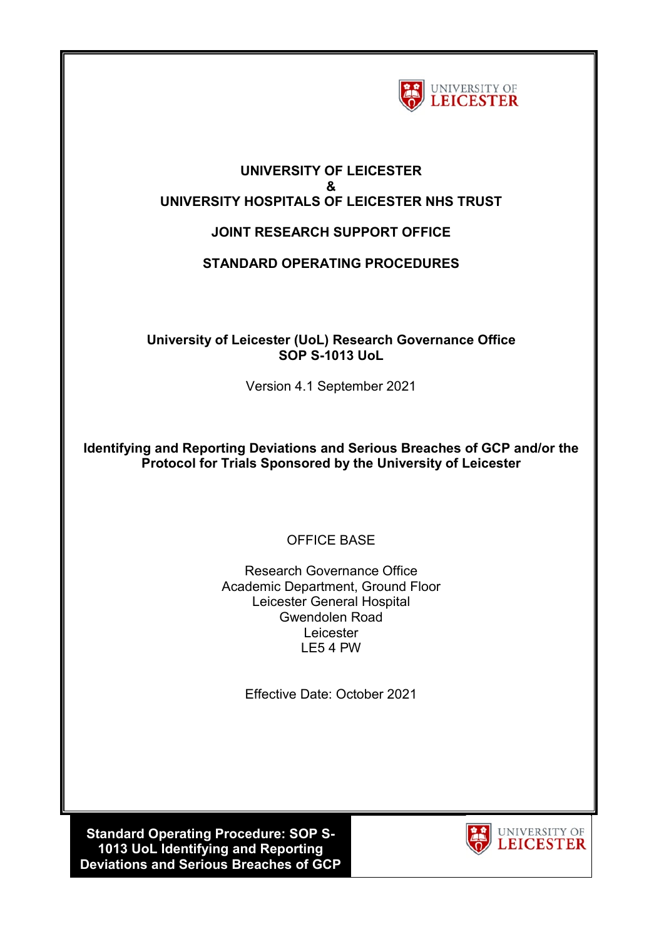

#### **UNIVERSITY OF LEICESTER & UNIVERSITY HOSPITALS OF LEICESTER NHS TRUST**

# **JOINT RESEARCH SUPPORT OFFICE**

# **STANDARD OPERATING PROCEDURES**

### **University of Leicester (UoL) Research Governance Office SOP S-1013 UoL**

Version 4.1 September 2021

**Identifying and Reporting Deviations and Serious Breaches of GCP and/or the Protocol for Trials Sponsored by the University of Leicester**

# OFFICE BASE

Research Governance Office Academic Department, Ground Floor Leicester General Hospital Gwendolen Road Leicester LE5 4 PW

Effective Date: October 2021

**Standard Operating Procedure: SOP S-1013 UoL Identifying and Reporting Deviations and Serious Breaches of GCP** 

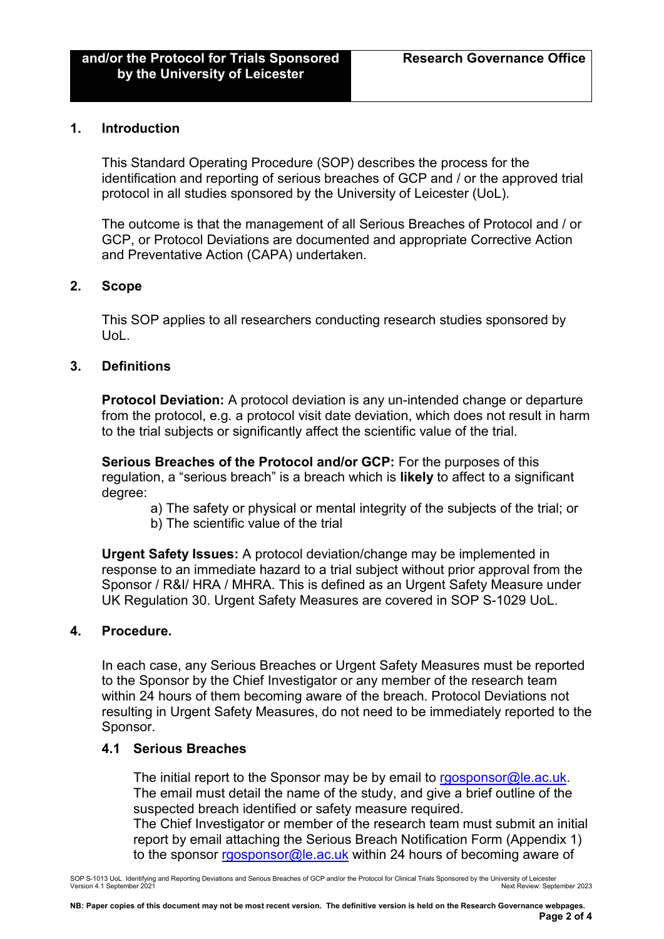#### **1. Introduction**

This Standard Operating Procedure (SOP) describes the process for the identification and reporting of serious breaches of GCP and / or the approved trial protocol in all studies sponsored by the University of Leicester (UoL).

The outcome is that the management of all Serious Breaches of Protocol and / or GCP, or Protocol Deviations are documented and appropriate Corrective Action and Preventative Action (CAPA) undertaken.

#### **2. Scope**

This SOP applies to all researchers conducting research studies sponsored by UoL.

#### **3. Definitions**

**Protocol Deviation:** A protocol deviation is any un-intended change or departure from the protocol, e.g. a protocol visit date deviation, which does not result in harm to the trial subjects or significantly affect the scientific value of the trial.

**Serious Breaches of the Protocol and/or GCP:** For the purposes of this regulation, a "serious breach" is a breach which is **likely** to affect to a significant degree:

- a) The safety or physical or mental integrity of the subjects of the trial; or
- b) The scientific value of the trial

**Urgent Safety Issues:** A protocol deviation/change may be implemented in response to an immediate hazard to a trial subject without prior approval from the Sponsor / R&I/ HRA / MHRA. This is defined as an Urgent Safety Measure under UK Regulation 30. Urgent Safety Measures are covered in SOP S-1029 UoL.

#### **4. Procedure.**

In each case, any Serious Breaches or Urgent Safety Measures must be reported to the Sponsor by the Chief Investigator or any member of the research team within 24 hours of them becoming aware of the breach. Protocol Deviations not resulting in Urgent Safety Measures, do not need to be immediately reported to the Sponsor.

#### **4.1 Serious Breaches**

The initial report to the Sponsor may be by email to [rgosponsor@le.ac.uk.](mailto:rgosponsor@le.ac.uk) The email must detail the name of the study, and give a brief outline of the suspected breach identified or safety measure required. The Chief Investigator or member of the research team must submit an initial report by email attaching the Serious Breach Notification Form (Appendix 1) to the sponsor [rgosponsor@le.ac.uk](mailto:rgosponsor@le.ac.uk) within 24 hours of becoming aware of

SOP S-1013 UoL Identifying and Reporting Deviations and Serious Breaches of GCP and/or the Protocol for Clinical Trials Sponsored by the University of Leicester Version 4.1 September 2021 Next Review: September 2023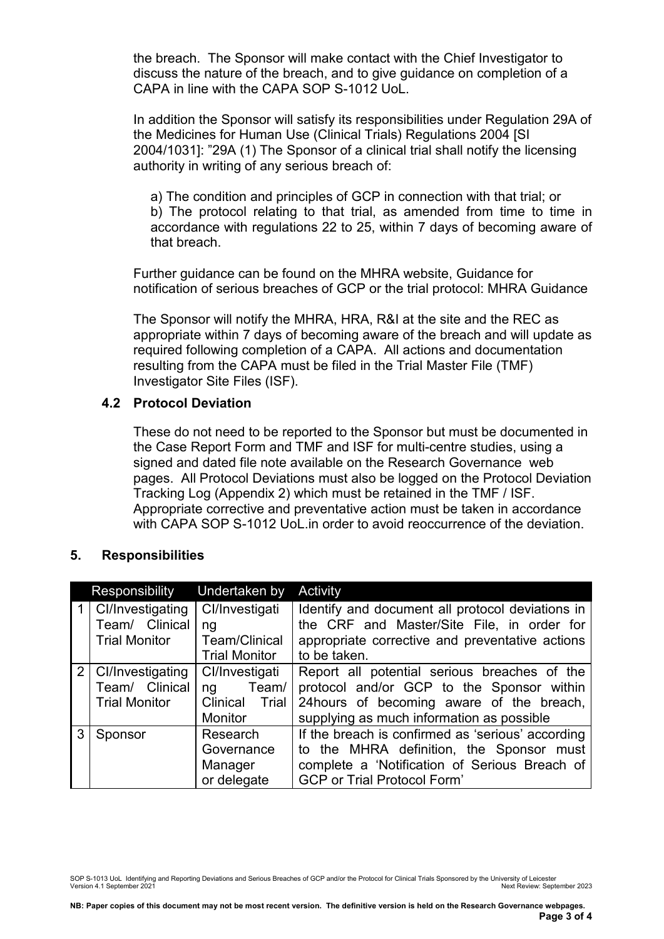the breach. The Sponsor will make contact with the Chief Investigator to discuss the nature of the breach, and to give guidance on completion of a CAPA in line with the CAPA SOP S-1012 UoL.

In addition the Sponsor will satisfy its responsibilities under Regulation 29A of the Medicines for Human Use (Clinical Trials) Regulations 2004 [SI 2004/1031]: "29A (1) The Sponsor of a clinical trial shall notify the licensing authority in writing of any serious breach of:

a) The condition and principles of GCP in connection with that trial; or b) The protocol relating to that trial, as amended from time to time in accordance with regulations 22 to 25, within 7 days of becoming aware of that breach.

Further guidance can be found on the MHRA website, Guidance for notification of serious breaches of GCP or the trial protocol: MHRA Guidance

The Sponsor will notify the MHRA, HRA, R&I at the site and the REC as appropriate within 7 days of becoming aware of the breach and will update as required following completion of a CAPA. All actions and documentation resulting from the CAPA must be filed in the Trial Master File (TMF) Investigator Site Files (ISF).

### **4.2 Protocol Deviation**

These do not need to be reported to the Sponsor but must be documented in the Case Report Form and TMF and ISF for multi-centre studies, using a signed and dated file note available on the Research Governance web pages. All Protocol Deviations must also be logged on the Protocol Deviation Tracking Log (Appendix 2) which must be retained in the TMF / ISF. Appropriate corrective and preventative action must be taken in accordance with CAPA SOP S-1012 UoL.in order to avoid reoccurrence of the deviation.

### **5. Responsibilities**

|   | Responsibility                                                 | Undertaken by                                                     | Activity                                                                                                                                                                             |
|---|----------------------------------------------------------------|-------------------------------------------------------------------|--------------------------------------------------------------------------------------------------------------------------------------------------------------------------------------|
|   | 1   Cl/Investigating<br>Team/ Clinical<br><b>Trial Monitor</b> | Cl/Investigati<br>ng<br>Team/Clinical<br><b>Trial Monitor</b>     | Identify and document all protocol deviations in<br>the CRF and Master/Site File, in order for<br>appropriate corrective and preventative actions<br>to be taken.                    |
|   | 2   Cl/Investigating<br>Team/ Clinical<br><b>Trial Monitor</b> | Cl/Investigati<br>Team/<br>ng<br>Clinical Trial<br><b>Monitor</b> | Report all potential serious breaches of the<br>protocol and/or GCP to the Sponsor within<br>24hours of becoming aware of the breach,<br>supplying as much information as possible   |
| 3 | Research<br>Sponsor<br>Governance<br>Manager<br>or delegate    |                                                                   | If the breach is confirmed as 'serious' according<br>to the MHRA definition, the Sponsor must<br>complete a 'Notification of Serious Breach of<br><b>GCP or Trial Protocol Form'</b> |

SOP S-1013 UoL Identifying and Reporting Deviations and Serious Breaches of GCP and/or the Protocol for Clinical Trials Sponsored by the University of Leicester Version 4.1 September 2021 Next Review: September 2023